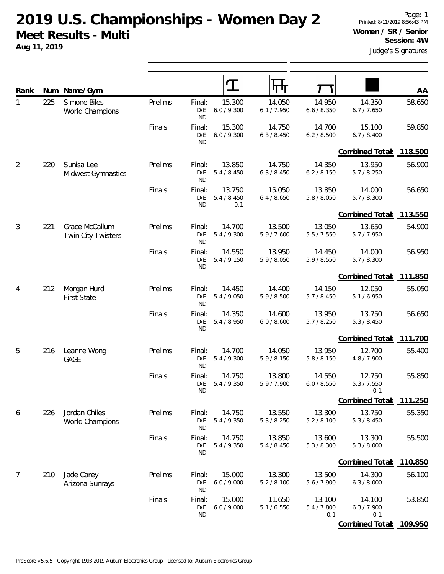**2019 U.S. Championships - Women Day 2 Meet Results - Multi**

**Aug 11, 2019**

| Rank           |     | Num Name/Gym                                |         |                          |                                 |                       |                                 |                                 | AA      |
|----------------|-----|---------------------------------------------|---------|--------------------------|---------------------------------|-----------------------|---------------------------------|---------------------------------|---------|
| 1              | 225 | Simone Biles<br><b>World Champions</b>      | Prelims | Final:<br>$D/E$ :<br>ND: | 15.300<br>6.0 / 9.300           | 14.050<br>6.1 / 7.950 | 14.950<br>6.6 / 8.350           | 14.350<br>6.7 / 7.650           | 58.650  |
|                |     |                                             | Finals  | Final:<br>$D/E$ :<br>ND: | 15.300<br>6.0 / 9.300           | 14.750<br>6.3 / 8.450 | 14.700<br>6.2 / 8.500           | 15.100<br>6.7 / 8.400           | 59.850  |
|                |     |                                             |         |                          |                                 |                       |                                 | Combined Total: 118.500         |         |
| $\overline{2}$ | 220 | Sunisa Lee<br>Midwest Gymnastics            | Prelims | Final:<br>$D/E$ :<br>ND: | 13.850<br>5.4 / 8.450           | 14.750<br>6.3 / 8.450 | 14.350<br>6.2 / 8.150           | 13.950<br>5.7/8.250             | 56.900  |
|                |     |                                             | Finals  | Final:<br>$D/E$ :<br>ND: | 13.750<br>5.4 / 8.450<br>$-0.1$ | 15.050<br>6.4 / 8.650 | 13.850<br>5.8 / 8.050           | 14.000<br>5.7 / 8.300           | 56.650  |
|                |     |                                             |         |                          |                                 |                       |                                 | Combined Total:                 | 113.550 |
| $\mathfrak{Z}$ | 221 | Grace McCallum<br><b>Twin City Twisters</b> | Prelims | Final:<br>$D/E$ :<br>ND: | 14.700<br>5.4/9.300             | 13.500<br>5.9/7.600   | 13.050<br>5.5 / 7.550           | 13.650<br>5.7/7.950             | 54.900  |
|                |     |                                             | Finals  | Final:<br>$D/E$ :<br>ND: | 14.550<br>5.4 / 9.150           | 13.950<br>5.9 / 8.050 | 14.450<br>5.9 / 8.550           | 14.000<br>5.7 / 8.300           | 56.950  |
|                |     |                                             |         |                          |                                 |                       |                                 | Combined Total: 111.850         |         |
| 4              | 212 | Morgan Hurd<br><b>First State</b>           | Prelims | Final:<br>$D/E$ :<br>ND: | 14.450<br>5.4 / 9.050           | 14.400<br>5.9 / 8.500 | 14.150<br>5.7/8.450             | 12.050<br>5.1 / 6.950           | 55.050  |
|                |     |                                             | Finals  | Final:<br>$D/E$ :<br>ND: | 14.350<br>5.4 / 8.950           | 14.600<br>6.0 / 8.600 | 13.950<br>5.7/8.250             | 13.750<br>5.3 / 8.450           | 56.650  |
|                |     |                                             |         |                          |                                 |                       |                                 | Combined Total:                 | 111.700 |
| 5              | 216 | Leanne Wong<br><b>GAGE</b>                  | Prelims | Final:<br>$D/E$ :<br>ND: | 14.700<br>5.4/9.300             | 14.050<br>5.9 / 8.150 | 13.950<br>5.8 / 8.150           | 12.700<br>4.8 / 7.900           | 55.400  |
|                |     |                                             | Finals  | Final:<br>$D/E$ :<br>ND: | 14.750<br>5.4 / 9.350           | 13.800<br>5.9/7.900   | 14.550<br>6.0 / 8.550           | 12.750<br>5.3 / 7.550<br>$-0.1$ | 55.850  |
|                |     |                                             |         |                          |                                 |                       |                                 | Combined Total:                 | 111.250 |
| 6              | 226 | Jordan Chiles<br>World Champions            | Prelims | Final:<br>$D/E$ :<br>ND: | 14.750<br>5.4 / 9.350           | 13.550<br>5.3 / 8.250 | 13.300<br>5.2 / 8.100           | 13.750<br>5.3 / 8.450           | 55.350  |
|                |     |                                             | Finals  | Final:<br>$D/E$ :<br>ND: | 14.750<br>5.4 / 9.350           | 13.850<br>5.4 / 8.450 | 13.600<br>5.3 / 8.300           | 13.300<br>5.3 / 8.000           | 55.500  |
|                |     |                                             |         |                          |                                 |                       |                                 | Combined Total:                 | 110.850 |
| $\overline{7}$ | 210 | Jade Carey<br>Arizona Sunrays               | Prelims | Final:<br>$D/E$ :<br>ND: | 15.000<br>6.0 / 9.000           | 13.300<br>5.2 / 8.100 | 13.500<br>5.6 / 7.900           | 14.300<br>6.3 / 8.000           | 56.100  |
|                |     |                                             | Finals  | Final:<br>$D/E$ :<br>ND: | 15.000<br>6.0 / 9.000           | 11.650<br>5.1 / 6.550 | 13.100<br>5.4 / 7.800<br>$-0.1$ | 14.100<br>6.3 / 7.900<br>$-0.1$ | 53.850  |
|                |     |                                             |         |                          |                                 |                       |                                 | Combined Total: 109.950         |         |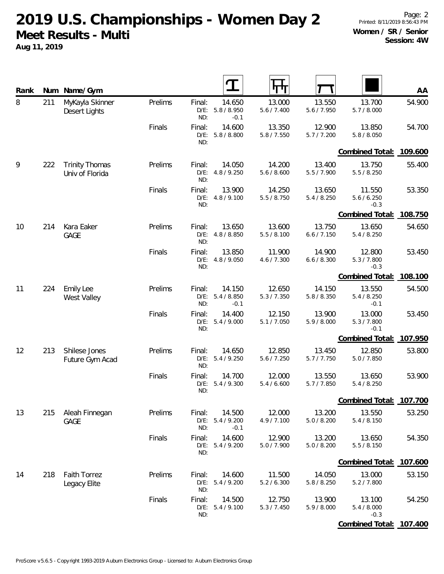**2019 U.S. Championships - Women Day 2 Meet Results - Multi**

**Aug 11, 2019**

| Rank |     | Num Name/Gym                             |         |                          |                                 |                       |                       |                                 | AA      |
|------|-----|------------------------------------------|---------|--------------------------|---------------------------------|-----------------------|-----------------------|---------------------------------|---------|
| 8    | 211 | MyKayla Skinner<br>Desert Lights         | Prelims | Final:<br>$D/E$ :<br>ND: | 14.650<br>5.8 / 8.950<br>$-0.1$ | 13.000<br>5.6 / 7.400 | 13.550<br>5.6 / 7.950 | 13.700<br>5.7 / 8.000           | 54.900  |
|      |     |                                          | Finals  | Final:<br>$D/E$ :<br>ND: | 14.600<br>5.8 / 8.800           | 13.350<br>5.8 / 7.550 | 12.900<br>5.7/7.200   | 13.850<br>5.8 / 8.050           | 54.700  |
|      |     |                                          |         |                          |                                 |                       |                       | Combined Total:                 | 109.600 |
| 9    | 222 | <b>Trinity Thomas</b><br>Univ of Florida | Prelims | Final:<br>$D/E$ :<br>ND: | 14.050<br>4.8 / 9.250           | 14.200<br>5.6 / 8.600 | 13.400<br>5.5 / 7.900 | 13.750<br>5.5 / 8.250           | 55.400  |
|      |     |                                          | Finals  | Final:<br>$D/E$ :<br>ND: | 13.900<br>4.8/9.100             | 14.250<br>5.5 / 8.750 | 13.650<br>5.4 / 8.250 | 11.550<br>5.6 / 6.250<br>$-0.3$ | 53.350  |
|      |     |                                          |         |                          |                                 |                       |                       | Combined Total:                 | 108.750 |
| 10   | 214 | Kara Eaker<br><b>GAGE</b>                | Prelims | Final:<br>$D/E$ :<br>ND: | 13.650<br>4.8 / 8.850           | 13.600<br>5.5 / 8.100 | 13.750<br>6.6 / 7.150 | 13.650<br>5.4 / 8.250           | 54.650  |
|      |     |                                          | Finals  | Final:<br>$D/E$ :<br>ND: | 13.850<br>4.8 / 9.050           | 11.900<br>4.6 / 7.300 | 14.900<br>6.6 / 8.300 | 12.800<br>5.3 / 7.800<br>$-0.3$ | 53.450  |
|      |     |                                          |         |                          |                                 |                       |                       | Combined Total:                 | 108.100 |
| 11   | 224 | <b>Emily Lee</b><br>West Valley          | Prelims | Final:<br>$D/E$ :<br>ND: | 14.150<br>5.4 / 8.850<br>$-0.1$ | 12.650<br>5.3 / 7.350 | 14.150<br>5.8 / 8.350 | 13.550<br>5.4 / 8.250<br>$-0.1$ | 54.500  |
|      |     |                                          | Finals  | Final:<br>$D/E$ :<br>ND: | 14.400<br>5.4 / 9.000           | 12.150<br>5.1 / 7.050 | 13.900<br>5.9 / 8.000 | 13.000<br>5.3 / 7.800<br>$-0.1$ | 53.450  |
|      |     |                                          |         |                          |                                 |                       |                       | Combined Total:                 | 107.950 |
| 12   | 213 | Shilese Jones<br>Future Gym Acad         | Prelims | Final:<br>$D/E$ :<br>ND: | 14.650<br>5.4 / 9.250           | 12.850<br>5.6 / 7.250 | 13.450<br>5.7/7.750   | 12.850<br>5.0 / 7.850           | 53.800  |
|      |     |                                          | Finals  | Final:<br>$D/E$ :<br>ND: | 14.700<br>5.4 / 9.300           | 12.000<br>5.4 / 6.600 | 13.550<br>5.7 / 7.850 | 13.650<br>5.4 / 8.250           | 53.900  |
|      |     |                                          |         |                          |                                 |                       |                       | Combined Total:                 | 107.700 |
| 13   | 215 | Aleah Finnegan<br><b>GAGE</b>            | Prelims | Final:<br>$D/E$ :<br>ND: | 14.500<br>5.4 / 9.200<br>$-0.1$ | 12.000<br>4.9 / 7.100 | 13.200<br>5.0 / 8.200 | 13.550<br>5.4 / 8.150           | 53.250  |
|      |     |                                          | Finals  | Final:<br>$D/E$ :<br>ND: | 14.600<br>5.4 / 9.200           | 12.900<br>5.0 / 7.900 | 13.200<br>5.0 / 8.200 | 13.650<br>5.5 / 8.150           | 54.350  |
|      |     |                                          |         |                          |                                 |                       |                       | Combined Total: 107.600         |         |
| 14   | 218 | <b>Faith Torrez</b><br>Legacy Elite      | Prelims | Final:<br>$D/E$ :<br>ND: | 14.600<br>5.4 / 9.200           | 11.500<br>5.2 / 6.300 | 14.050<br>5.8 / 8.250 | 13.000<br>5.2 / 7.800           | 53.150  |
|      |     |                                          | Finals  | Final:<br>$D/E$ :<br>ND: | 14.500<br>5.4 / 9.100           | 12.750<br>5.3 / 7.450 | 13.900<br>5.9 / 8.000 | 13.100<br>5.4 / 8.000<br>$-0.3$ | 54.250  |
|      |     |                                          |         |                          |                                 |                       |                       | <b>Combined Total:</b>          | 107.400 |